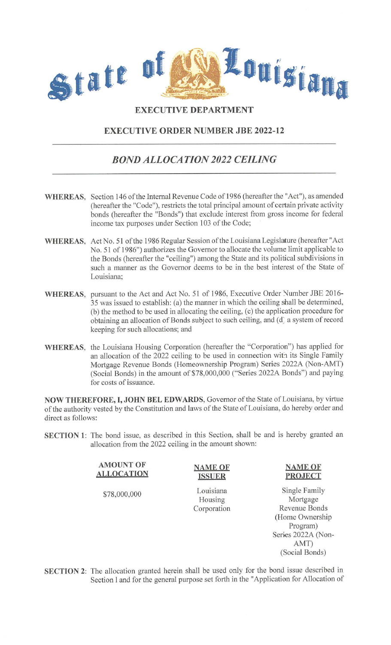

## **EXECUTIVE DEPARTMENT**

## **EXECUTIVE ORDER NUMBER JBE 2022-12**

## *BOND ALLOCATION 2022 CEILING*

- **WHEREAS,** Section 146 of the Internal Revenue Code of 1986 (hereafter the "Act"), as amended (hereafter the "Code"), restricts the total principal amount of certain private activity bonds (hereafter the "Bonds") that exclude interest from gross income for federal income tax purposes under Section 103 of the Code;
- **WHEREAS,** Act No. 51 of the 1986 Regular Session of the Louisiana Legislature (hereafter "Act No. 51 of 1986") authorizes the Governor to allocate the volume limit applicable to the Bonds (hereafter the "ceiling") among the State and its political subdivisions in such a manner as the Governor deems to be in the best interest of the State of Louisiana;
- WHEREAS, pursuant to the Act and Act No. 51 of 1986, Executive Order Number JBE 2016-35 was issued to establish: (a) the manner in which the ceiling shall be determined, (b) the method to be used in allocating the ceiling, (c) the application procedure for obtaining an allocation of Bonds subject to such ceiling, and (d) a system of record keeping for such allocations; and
- **WHEREAS,** the Louisiana Housing Corporation (hereafter the "Corporation") has applied for an allocation of the 2022 ceiling to be used in connection with its Single Family Mortgage Revenue Bonds (Homeownership Program) Series 2022A (Non-AMT) (Social Bonds) in the amount of \$78,000,000 ("Series 2022A Bonds") and paying for costs of issuance.

**NOW THEREFORE, I, JOHN BEL EDWARDS,** Governor of the State of Louisiana, by virtue of the authority vested by the Constitution and laws of the State of Louisiana, do hereby order and direct as follows:

**SECTION 1:** The bond issue, as described in this Section, shall be and is hereby granted an allocation from the 2022 ceiling in the amount shown:

> **AMOUNT OF ALLOCATION**

\$78,000,000

**ISSUER**  Louisiana

**NAME OF** 

Housing Corporation

## **NAME OF PROJECT**

Single Family Mortgage Revenue Bonds (Home Ownership Program) Series 2022A (Non-AMT) (Social Bonds)

**SECTION 2:** The allocation granted herein shall be used only for the bond issue described in Section 1 and for the general purpose set forth in the "Application for Allocation of